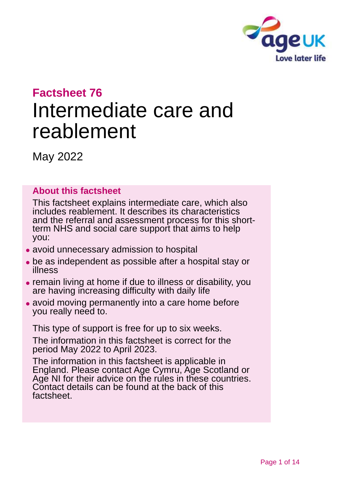

# **Factsheet 76**

# Intermediate care and reablement

May 2022

#### **About this factsheet**

This factsheet explains intermediate care, which also includes reablement. It describes its characteristics and the referral and assessment process for this shortterm NHS and social care support that aims to help you:

- ⚫ avoid unnecessary admission to hospital
- ⚫ be as independent as possible after a hospital stay or illness
- ⚫ remain living at home if due to illness or disability, you are having increasing difficulty with daily life
- avoid moving permanently into a care home before you really need to.

This type of support is free for up to six weeks.

The information in this factsheet is correct for the period May 2022 to April 2023.

The information in this factsheet is applicable in England. Please contact [Age Cymru, Age Scotland or](#page-12-0)  [Age NI](#page-12-0) for their advice on the rules in these countries. Contact details can be found at the back of this factsheet.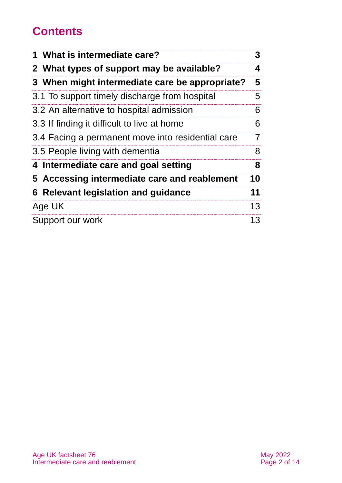# **Contents**

| 1 What is intermediate care?                      | 3  |
|---------------------------------------------------|----|
| 2 What types of support may be available?         | 4  |
| 3 When might intermediate care be appropriate?    | 5  |
| 3.1 To support timely discharge from hospital     | 5  |
| 3.2 An alternative to hospital admission          | 6  |
| 3.3 If finding it difficult to live at home       | 6  |
| 3.4 Facing a permanent move into residential care | 7  |
| 3.5 People living with dementia                   | 8  |
| 4 Intermediate care and goal setting              | 8  |
| 5 Accessing intermediate care and reablement      | 10 |
| <b>6 Relevant legislation and guidance</b>        | 11 |
| Age UK                                            | 13 |
| Support our work                                  | 13 |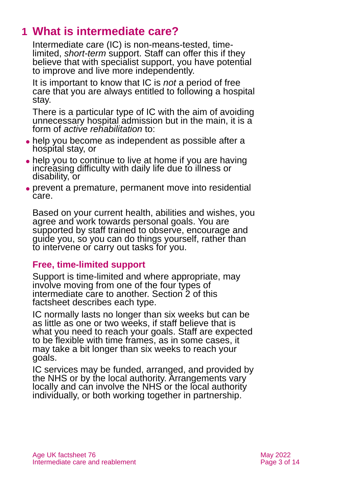# <span id="page-2-0"></span>**1 What is intermediate care?**

Intermediate care (IC) is non-means-tested, timelimited, *short-term* support. Staff can offer this if they believe that with specialist support, you have potential to improve and live more independently.

It is important to know that IC is *not* a period of free care that you are always entitled to following a hospital stay.

There is a particular type of IC with the aim of avoiding unnecessary hospital admission but in the main, it is a form of *active rehabilitation* to:

- help you become as independent as possible after a hospital stay, or
- help you to continue to live at home if you are having increasing difficulty with daily life due to illness or disability, or
- ⚫ prevent a premature, permanent move into residential care.

Based on your current health, abilities and wishes, you agree and work towards personal goals. You are supported by staff trained to observe, encourage and guide you, so you can do things yourself, rather than to intervene or carry out tasks for you.

#### **Free, time-limited support**

Support is time-limited and where appropriate, may involve moving from one of the four types of intermediate care to another. [Section 2](#page-3-0) of this factsheet describes each type.

IC normally lasts no longer than six weeks but can be as little as one or two weeks, if staff believe that is what you need to reach your goals. Staff are expected to be flexible with time frames, as in some cases, it may take a bit longer than six weeks to reach your goals.

IC services may be funded, arranged, and provided by the NHS or by the local authority. Arrangements vary locally and can involve the NHS or the local authority individually, or both working together in partnership.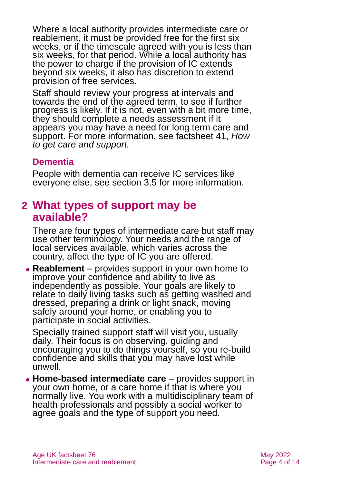Where a local authority provides intermediate care or reablement, it must be provided free for the first six weeks, or if the timescale agreed with you is less than six weeks, for that period. While a local authority has the power to charge if the provision of IC extends beyond six weeks, it also has discretion to extend provision of free services.

Staff should review your progress at intervals and towards the end of the agreed term, to see if further progress is likely. If it is not, even with a bit more time, they should complete a needs assessment if it appears you may have a need for long term care and support. For more information, see factsheet 41, *[How](https://www.ageuk.org.uk/globalassets/age-uk/documents/factsheets/fs41_how_to_get_care_and_support_fcs.pdf)  [to get care and s](https://www.ageuk.org.uk/globalassets/age-uk/documents/factsheets/fs41_how_to_get_care_and_support_fcs.pdf)upport.*

#### **Dementia**

People with dementia can receive IC services like everyone else, [see section 3.5](#page-7-1) for more information.

### <span id="page-3-0"></span>**2 What types of support may be available?**

There are four types of intermediate care but staff may use other terminology. Your needs and the range of local services available, which varies across the country, affect the type of IC you are offered.

⚫ **Reablement** – provides support in your own home to improve your confidence and ability to live as independently as possible. Your goals are likely to relate to daily living tasks such as getting washed and dressed, preparing a drink or light snack, moving safely around your home, or enabling you to participate in social activities.

Specially trained support staff will visit you, usually daily. Their focus is on observing, guiding and encouraging you to do things yourself, so you re-build confidence and skills that you may have lost while unwell.

⚫ **Home-based intermediate care** – provides support in your own home, or a care home if that is where you normally live. You work with a multidisciplinary team of health professionals and possibly a social worker to agree goals and the type of support you need.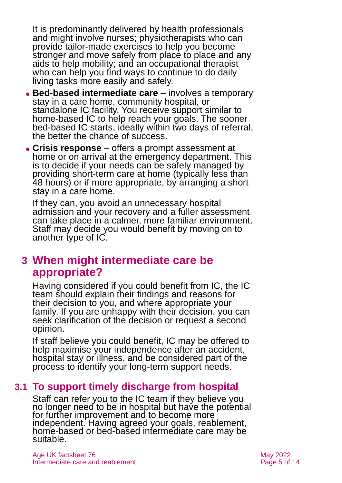It is predominantly delivered by health professionals and might involve nurses; physiotherapists who can provide tailor-made exercises to help you become stronger and move safely from place to place and any aids to help mobility; and an occupational therapist who can help you find ways to continue to do daily living tasks more easily and safely.

- ⚫ **Bed-based intermediate care** involves a temporary stay in a care home, community hospital, or standalone IC facility. You receive support similar to home-based IC to help reach your goals. The sooner bed-based IC starts, ideally within two days of referral, the better the chance of success.
- ⚫ **Crisis response** offers a prompt assessment at home or on arrival at the emergency department. This is to decide if your needs can be safely managed by providing short-term care at home (typically less than 48 hours) or if more appropriate, by arranging a short stay in a care home.

If they can, you avoid an unnecessary hospital admission and your recovery and a fuller assessment can take place in a calmer, more familiar environment. Staff may decide you would benefit by moving on to another type of IC.

# <span id="page-4-0"></span>**3 When might intermediate care be appropriate?**

Having considered if you could benefit from IC, the IC team should explain their findings and reasons for their decision to you, and where appropriate your family. If you are unhappy with their decision, you can seek clarification of the decision or request a second opinion.

If staff believe you could benefit, IC may be offered to help maximise your independence after an accident, hospital stay or illness, and be considered part of the process to identify your long-term support needs.

### **3.1 To support timely discharge from hospital**

Staff can refer you to the IC team if they believe you no longer need to be in hospital but have the potential for further improvement and to become more independent. Having agreed your goals, reablement, home-based or bed-based intermediate care may be suitable.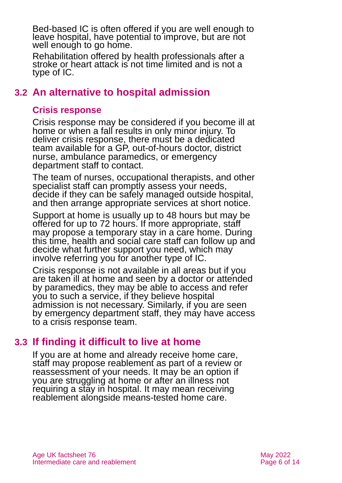Bed-based IC is often offered if you are well enough to leave hospital, have potential to improve, but are not well enough to go home.

Rehabilitation offered by health professionals after a stroke or heart attack is not time limited and is not a type of IC.

### **3.2 An alternative to hospital admission**

#### **Crisis response**

Crisis response may be considered if you become ill at home or when a fall results in only minor injury. To deliver crisis response, there must be a dedicated team available for a GP, out-of-hours doctor, district nurse, ambulance paramedics, or emergency department staff to contact.

The team of nurses, occupational therapists, and other specialist staff can promptly assess your needs, decide if they can be safely managed outside hospital, and then arrange appropriate services at short notice.

Support at home is usually up to 48 hours but may be offered for up to 72 hours. If more appropriate, staff may propose a temporary stay in a care home. During this time, health and social care staff can follow up and decide what further support you need, which may involve referring you for another type of IC.

Crisis response is not available in all areas but if you are taken ill at home and seen by a doctor or attended by paramedics, they may be able to access and refer you to such a service, if they believe hospital admission is not necessary. Similarly, if you are seen by emergency department staff, they may have access to a crisis response team.

### **3.3 If finding it difficult to live at home**

If you are at home and already receive home care, staff may propose reablement as part of a review or reassessment of your needs. It may be an option if you are struggling at home or after an illness not requiring a stay in hospital. It may mean receiving reablement alongside means-tested home care.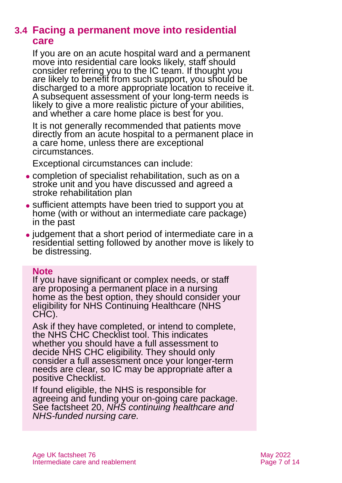### **3.4 Facing a permanent move into residential care**

If you are on an acute hospital ward and a permanent move into residential care looks likely, staff should consider referring you to the IC team. If thought you are likely to benefit from such support, you should be discharged to a more appropriate location to receive it. A subsequent assessment of your long-term needs is likely to give a more realistic picture of your abilities, and whether a care home place is best for you.

It is not generally recommended that patients move directly from an acute hospital to a permanent place in a care home, unless there are exceptional circumstances.

Exceptional circumstances can include:

- ⚫ completion of specialist rehabilitation, such as on a stroke unit and you have discussed and agreed a stroke rehabilitation plan
- ⚫ sufficient attempts have been tried to support you at home (with or without an intermediate care package) in the past
- ⚫ judgement that a short period of intermediate care in a residential setting followed by another move is likely to be distressing.

#### **Note**

If you have significant or complex needs, or staff are proposing a permanent place in a nursing home as the best option, they should consider your eligibility for NHS Continuing Healthcare (NHS CHC).

Ask if they have completed, or intend to complete, the NHS CHC Checklist tool. This indicates whether you should have a full assessment to decide NHS CHC eligibility. They should only consider a full assessment once your longer-term needs are clear, so IC may be appropriate after a positive Checklist.

If found eligible, the NHS is responsible for agreeing and funding your on-going care package. See factsheet 20, *[NHS continuing healthcare and](https://www.ageuk.org.uk/globalassets/age-uk/documents/factsheets/fs20_nhs_continuing_healthcare_and_nhs-funded_nursing_care_fcs.pdf)  [NHS-funded nursing care.](https://www.ageuk.org.uk/globalassets/age-uk/documents/factsheets/fs20_nhs_continuing_healthcare_and_nhs-funded_nursing_care_fcs.pdf)*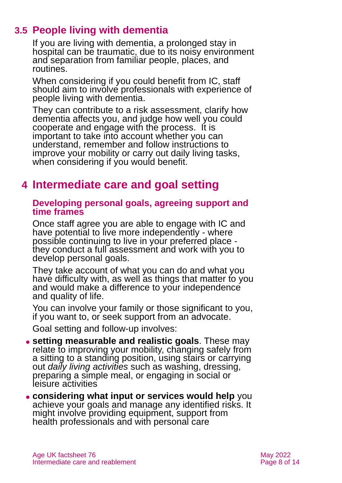## **3.5 People living with dementia**

<span id="page-7-1"></span>If you are living with dementia, a prolonged stay in hospital can be traumatic, due to its noisy environment and separation from familiar people, places, and routines.

When considering if you could benefit from IC, staff should aim to involve professionals with experience of people living with dementia.

They can contribute to a risk assessment, clarify how dementia affects you, and judge how well you could cooperate and engage with the process. It is important to take into account whether you can understand, remember and follow instructions to improve your mobility or carry out daily living tasks, when considering if you would benefit.

# <span id="page-7-0"></span>**4 Intermediate care and goal setting**

#### **Developing personal goals, agreeing support and time frames**

Once staff agree you are able to engage with IC and have potential to live more independently - where possible continuing to live in your preferred place they conduct a full assessment and work with you to develop personal goals.

They take account of what you can do and what you have difficulty with, as well as things that matter to you and would make a difference to your independence and quality of life.

You can involve your family or those significant to you, if you want to, or seek support from an advocate.

Goal setting and follow-up involves:

⚫ **setting measurable and realistic goals**. These may relate to improving your mobility, changing safely from a sitting to a standing position, using stairs or carrying out *daily living activities* such as washing, dressing, preparing a simple meal, or engaging in social or leisure activities

⚫ **considering what input or services would help** you achieve your goals and manage any identified risks. It might involve providing equipment, support from health professionals and with personal care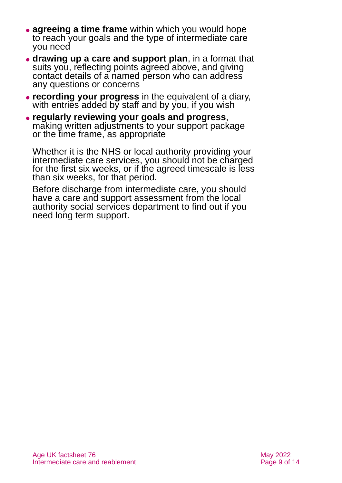- ⚫ **agreeing a time frame** within which you would hope to reach your goals and the type of intermediate care you need
- ⚫ **drawing up a care and support plan**, in a format that suits you, reflecting points agreed above, and giving contact details of a named person who can address any questions or concerns
- ⚫ **recording your progress** in the equivalent of a diary, with entries added by staff and by you, if you wish
- ⚫ **regularly reviewing your goals and progress**, making written adjustments to your support package or the time frame, as appropriate

Whether it is the NHS or local authority providing your intermediate care services, you should not be charged for the first six weeks, or if the agreed timescale is less than six weeks, for that period.

Before discharge from intermediate care, you should have a care and support assessment from the local authority social services department to find out if you need long term support.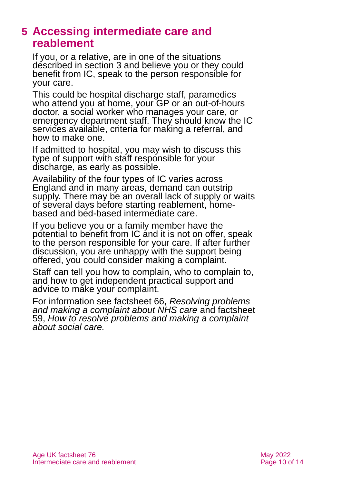## <span id="page-9-0"></span>**5 Accessing intermediate care and reablement**

If you, or a relative, are in one of the situations described in [section 3](#page-4-0) and believe you or they could benefit from IC, speak to the person responsible for your care.

This could be hospital discharge staff, paramedics who attend you at home, your GP or an out-of-hours doctor, a social worker who manages your care, or emergency department staff. They should know the IC services available, criteria for making a referral, and how to make one.

If admitted to hospital, you may wish to discuss this type of support with staff responsible for your discharge, as early as possible.

Availability of the four types of IC varies across England and in many areas, demand can outstrip supply. There may be an overall lack of supply or waits of several days before starting reablement, homebased and bed-based intermediate care.

If you believe you or a family member have the potential to benefit from IC and it is not on offer, speak to the person responsible for your care. If after further discussion, you are unhappy with the support being offered, you could consider making a complaint.

Staff can tell you how to complain, who to complain to, and how to get independent practical support and advice to make your complaint.

For information see factsheet 66, *[Resolving problems](https://www.ageuk.org.uk/globalassets/age-uk/documents/factsheets/fs66_resolving_problems_and_making_a_complaint_about_nhs_care_fcs.pdf)  [and making a complaint about NHS care](https://www.ageuk.org.uk/globalassets/age-uk/documents/factsheets/fs66_resolving_problems_and_making_a_complaint_about_nhs_care_fcs.pdf)* and factsheet 59, *[How to resolve problems and making a complaint](https://www.ageuk.org.uk/globalassets/age-uk/documents/factsheets/fs59_how_to_resolve_problems_and_complain_about_social_care_fcs.pdf)  [about social care.](https://www.ageuk.org.uk/globalassets/age-uk/documents/factsheets/fs59_how_to_resolve_problems_and_complain_about_social_care_fcs.pdf)*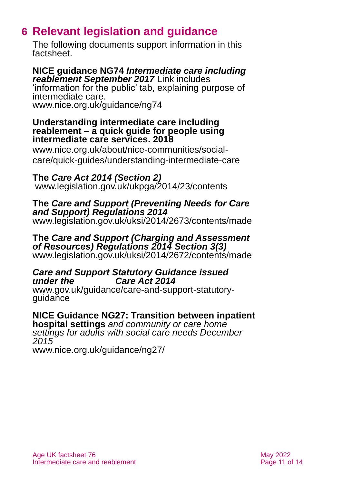# <span id="page-10-0"></span>**6 Relevant legislation and guidance**

The following documents support information in this factsheet.

#### **NICE guidance NG74** *Intermediate care including reablement September 2017* Link includes

'information for the public' tab, explaining purpose of intermediate care. [www.nice.org.uk/guidance/ng74](http://www.nice.org.uk/guidance/ng74)

#### **Understanding intermediate care including reablement – a quick guide for people using intermediate care services. 2018**

[www.nice.org.uk/about/nice-communities/social](http://www.nice.org.uk/about/nice-communities/social-care/quick-guides/understanding-intermediate-care)[care/quick-guides/understanding-intermediate-care](http://www.nice.org.uk/about/nice-communities/social-care/quick-guides/understanding-intermediate-care)

#### **The** *Care Act 2014 (Section 2)*

[www.legislation.gov.uk/ukpga/2014/23/contents](http://www.legislation.gov.uk/ukpga/2014/23/contents)

#### **The** *Care and Support (Preventing Needs for Care and Support) Regulations 2014*

[www.legislation.gov.uk/uksi/2014/2673/contents/made](http://www.legislation.gov.uk/uksi/2014/2673/contents/made)

#### **The** *Care and Support (Charging and Assessment of Resources) Regulations 2014 Section 3(3)* [www.legislation.gov.uk/uksi/2014/2672/contents/made](http://www.legislation.gov.uk/uksi/2014/2672/contents/made)

#### *Care and Support Statutory Guidance issued under the Care Act 2014*

[www.gov.uk/guidance/care-and-support-statutory](http://www.gov.uk/guidance/care-and-support-statutory-guidance)[guidance](http://www.gov.uk/guidance/care-and-support-statutory-guidance)

#### **NICE Guidance NG27: Transition between inpatient**

**hospital settings** *and community or care home settings for adults with social care needs December 2015*

[www.nice.org.uk/guidance/ng27/](http://www.nice.org.uk/guidance/ng27/)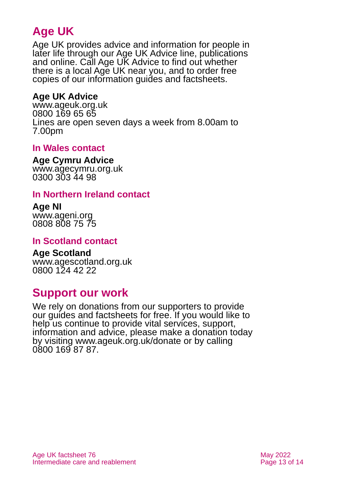# **Age UK**

Age UK provides advice and information for people in later life through our Age UK Advice line, publications and online. Call Age UK Advice to find out whether there is a local Age UK near you, and to order free copies of our information guides and factsheets.

#### <span id="page-12-1"></span>**Age UK Advice**

[www.ageuk.org.uk](http://www.ageuk.org.uk/) 0800 169 65 65 Lines are open seven days a week from 8.00am to 7.00pm

#### **In Wales contact**

#### **Age Cymru Advice**

[www.agecymru.org.uk](http://www.agecymru.org.uk/) 0300 303 44 98

#### <span id="page-12-0"></span>**In Northern Ireland contact**

#### **Age NI** [www.ageni.org](http://www.ageni.org/) 0808 808 75 75

#### **In Scotland contact**

#### <span id="page-12-2"></span>**Age Scotland** [www.agescotland.org.uk](http://www.agescotland.org.uk/) 0800 124 42 22

# **Support our work**

We rely on donations from our supporters to provide our guides and factsheets for free. If you would like to help us continue to provide vital services, support, information and advice, please make a donation today by visiting [www.ageuk.org.uk/donate](http://www.ageuk.org.uk/donate) or by calling 0800 169 87 87.